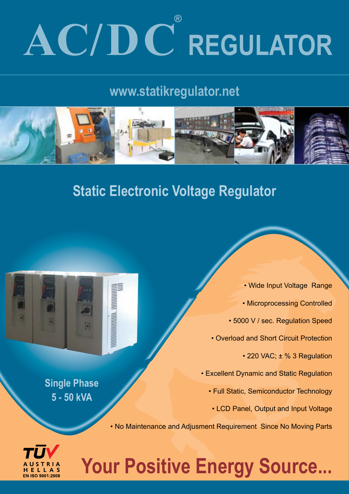# **AC/DC REGULATOR ®**

## **www.statikregulator.net**



## **Static Electronic Voltage Regulator**



**Single Phase 5 - 50 kVA**

• Wide Input Voltage Range • Microprocessing Controlled • 5000 V / sec. Regulation Speed • Overload and Short Circuit Protection • 220 VAC; ± % 3 Regulation • Excellent Dynamic and Static Regulation • Full Static, Semiconductor Technology • LCD Panel, Output and Input Voltage

• No Maintenance and Adjusment Requirement Since No Moving Parts



## **Your Positive Energy Source...**